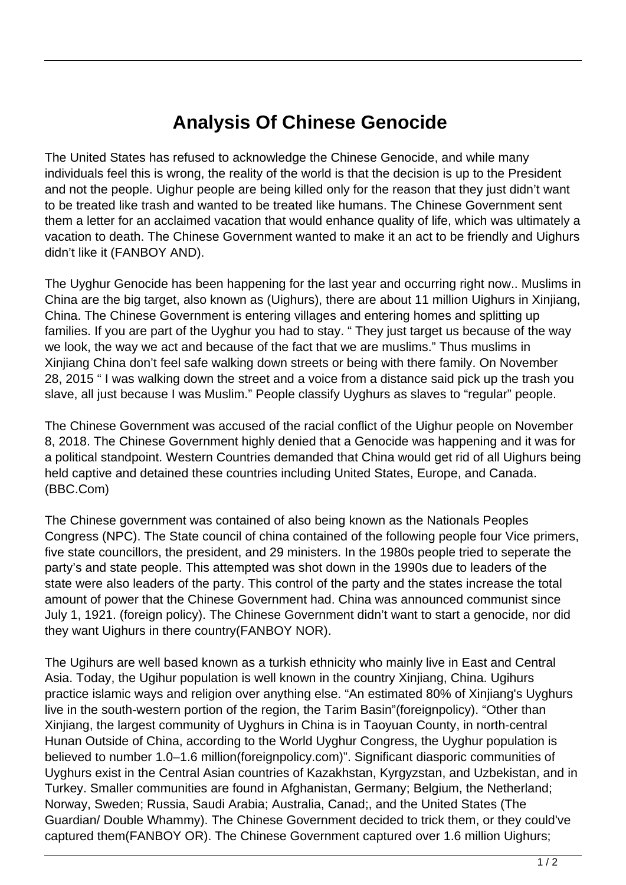## **Analysis Of Chinese Genocide**

The United States has refused to acknowledge the Chinese Genocide, and while many individuals feel this is wrong, the reality of the world is that the decision is up to the President and not the people. Uighur people are being killed only for the reason that they just didn't want to be treated like trash and wanted to be treated like humans. The Chinese Government sent them a letter for an acclaimed vacation that would enhance quality of life, which was ultimately a vacation to death. The Chinese Government wanted to make it an act to be friendly and Uighurs didn't like it (FANBOY AND).

The Uyghur Genocide has been happening for the last year and occurring right now.. Muslims in China are the big target, also known as (Uighurs), there are about 11 million Uighurs in Xinjiang, China. The Chinese Government is entering villages and entering homes and splitting up families. If you are part of the Uyghur you had to stay. " They just target us because of the way we look, the way we act and because of the fact that we are muslims." Thus muslims in Xinjiang China don't feel safe walking down streets or being with there family. On November 28, 2015 " I was walking down the street and a voice from a distance said pick up the trash you slave, all just because I was Muslim." People classify Uyghurs as slaves to "regular" people.

The Chinese Government was accused of the racial conflict of the Uighur people on November 8, 2018. The Chinese Government highly denied that a Genocide was happening and it was for a political standpoint. Western Countries demanded that China would get rid of all Uighurs being held captive and detained these countries including United States, Europe, and Canada. (BBC.Com)

The Chinese government was contained of also being known as the Nationals Peoples Congress (NPC). The State council of china contained of the following people four Vice primers, five state councillors, the president, and 29 ministers. In the 1980s people tried to seperate the party's and state people. This attempted was shot down in the 1990s due to leaders of the state were also leaders of the party. This control of the party and the states increase the total amount of power that the Chinese Government had. China was announced communist since July 1, 1921. (foreign policy). The Chinese Government didn't want to start a genocide, nor did they want Uighurs in there country(FANBOY NOR).

The Ugihurs are well based known as a turkish ethnicity who mainly live in East and Central Asia. Today, the Ugihur population is well known in the country Xinjiang, China. Ugihurs practice islamic ways and religion over anything else. "An estimated 80% of Xinjiang's Uyghurs live in the south-western portion of the region, the Tarim Basin"(foreignpolicy). "Other than Xinjiang, the largest community of Uyghurs in China is in Taoyuan County, in north-central Hunan Outside of China, according to the World Uyghur Congress, the Uyghur population is believed to number 1.0–1.6 million(foreignpolicy.com)". Significant diasporic communities of Uyghurs exist in the Central Asian countries of Kazakhstan, Kyrgyzstan, and Uzbekistan, and in Turkey. Smaller communities are found in Afghanistan, Germany; Belgium, the Netherland; Norway, Sweden; Russia, Saudi Arabia; Australia, Canad;, and the United States (The Guardian/ Double Whammy). The Chinese Government decided to trick them, or they could've captured them(FANBOY OR). The Chinese Government captured over 1.6 million Uighurs;